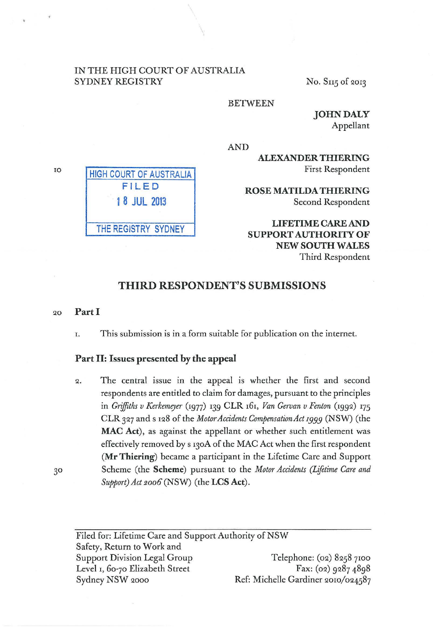### IN THE HIGH COURT OF AUSTRALIA SYDNEY REGISTRY No. S115 of 2013

HIGH COURT OF AUSTRALIA FILED

1 8 JUL 2013

THE REGISTRY SYDNEY

### BETWEEN

JOHN DALY Appellant

AND

ALEXANDER THIERING First Respondent

ROSE MATILDA THIERING Second Respondent

LIFETIME CARE AND SUPPORT AUTHORITY OF NEW SOUTH WALES Third Respondent

### THIRD RESPONDENT'S SUBMISSIONS

#### 20 Part I

r. This submission is in a form suitable for publication on the internet.

### Part II: Issues presented by the appeal

*Q.* The central issue in the appeal is whether the first and second respondents are entitled to claim for damages, pursuant to the principles in *Griffiths v Kerkemeyer* (1977) 139 CLR 161, *Van Gervan v Fenton* (199Q) 175 CLR *3Q7* and s IQ8 of the *Motor Accidents Compensation Act 1999* (NSW) (the MAC Act), as against the appellant or whether such entitlement was effectively removed by s 130A of the MAC Act when the first respondent (Mr Thiering) became a participant in the Lifetime Care and Support Scheme (the Scheme) pursuant to the *Motor Accidents (Ljfttime Care and Support) Act 2oo6* (NSW) (the LCS Act).

Filed for: Lifetime Care and Support Authority of NSW Safety, Return to Work and Support Division Legal Group Level 1, 60-70 Elizabeth Street Sydney NSW 2000 Telephone: (02) 8258 7100 Fax: (02) 9287 4898 Ref: Michelle Gardiner 2010/024587

10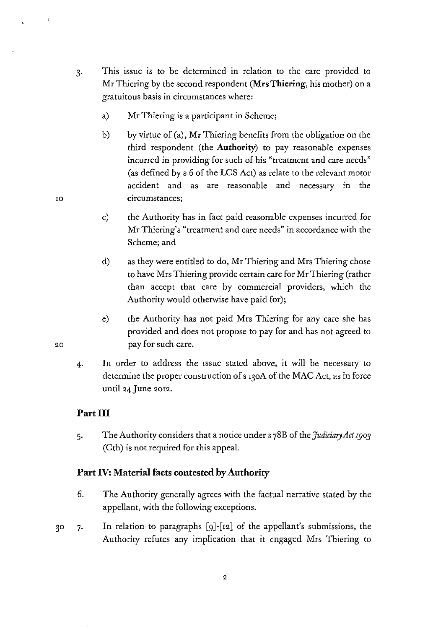- 3· This issue is to be determined in relation to the care provided to Mr Thiering by the second respondent **(Mrs Thiering,** his mother) on a gratuitous basis in circumstances where:
	- a) Mr Thiering is a participant in Scheme;
	- b) by virtue of (a), Mr Thiering benefits from the obligation on the third respondent (the **Authority)** to pay reasonable expenses incurred in providing for such of his "treatment and care needs" (as defined by s *6* of the LCS Act) as relate to the relevant motor accident and as are reasonable and necessary in the circumstances;
	- c) the Authority has in fact paid reasonable expenses incurred for Mr Thiering's "treatment and care needs" in accordance with the Scheme; and
	- d) as they were entitled to do, Mr Thiering and Mrs Thiering chose to have Mrs Thiering provide certain care for Mr Thiering (rather than accept that care by commercial providers, which the Authority would otherwise have paid for);
	- e) the Authority has not paid Mrs Thiering for any care she has provided and does not propose to pay for and has not agreed to pay for such care.
- 4. In order to address the issue stated above, it will be necessary to determine the proper construction of s 130A of the MAC Act, as in force until 24 June 2012.

# **Part III**

5· The Authority considers that a notice under s 78B of the *Judiciary Act rgo3*  (Cth) is not required for this appeal.

# **Part IV: Material facts contested by Authority**

- 6. The Authority generally agrees with the factual narrative stated by the appellant, with the following exceptions.
- In relation to paragraphs  $[g]$ - $[r2]$  of the appellant's submissions, the 30  $7.$ Authority refutes any implication that it engaged Mrs Thiering to

20

IO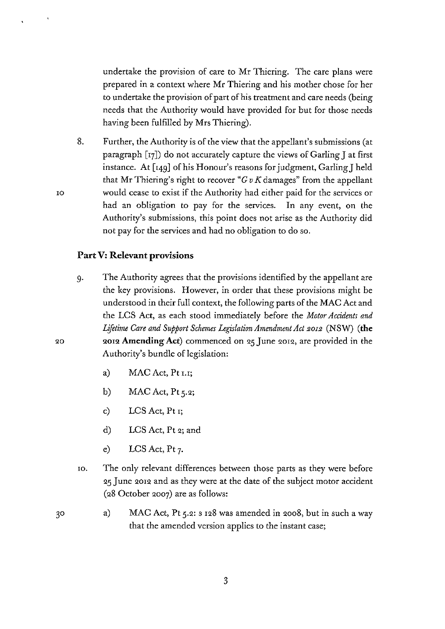undertake the provision of care to Mr Thiering. The care plans were prepared in a context where Mr Thiering and his mother chose for her to undertake the provision of part of his treatment and care needs (being needs that the Authority would have provided for but for those needs having been fulfilled by Mrs Thiering).

8. Further, the Authority is of the view that the appellant's submissions (at paragraph [r7]) do not accurately capture the views of Garling J at first instance. At [r49] of his Honour's reasons for judgment, Garling] held that Mr Thiering's right to recover " $G v K$  damages" from the appellant would cease to exist if the Authority had either paid for the services or had an obligation to pay for the services. In any event, on the Authority's submissions, this point does not arise as the Authority did not pay for the services and had no obligation to do so.

### **Part V: Relevant provisions**

- g. The Authority agrees that the provisions identified by the appellant are the key provisions. However, in order that these provisions might be understood in their full context, the following parts of the MAC Act and the LCS Act, as each stood immediately before the *Motor Accidents and Lifetime Care and Support Schemes LegislationAmendmentAct 20I2* (NSW) **(the**  2012 **Amending Act)** commenced on 25 June 20r2, are provided in the Authority's bundle of legislation:
	- a) MAC Act, Pt r.r;
	- b) MAC Act,  $Pt\,5.2$ ;
	- c) LCS Act, Pt r;
	- d) LCS Act, Pt 2; and
	- e) LCS Act, Pt  $7$ .
- IO. The only relevant differences between those parts as they were before 25 June 2012 and as they were at the date of the subject motor accident (28 October 2007) are as follows:
- a) MAC Act, Pt 5.2: s r28 was amended in 2008, but in such a way that the amended version applies to the instant case;

IO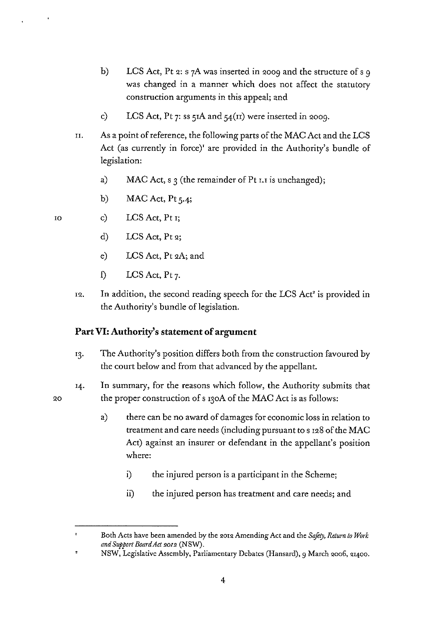- b) LCS Act, Pt 2: s 7A was inserted in 2009 and the structure of s 9 was changed in a manner which does not affect the statutory construction arguments in this appeal; and
- c) LCS Act, Pt 7: ss  $5IA$  and  $54(1I)$  were inserted in 2009.
- n. As a point of reference, the following parts of the MAC Act and the LCS Act (as currently in force)' are provided in the Authority's bundle of legislation:
	- a) MAC Act, s  $\alpha$  (the remainder of Pt I.I is unchanged);
	- b) MAC Act, Pt  $5.4$ ;
- c)  $LCS$  Act, Pt  $r$ ;
	- d) LCS Act, Pt 2;
	- e) LCS Act, Pt 2A; and
	- f) LCS Act, Pt  $7$ .
- 12. In addition, the second reading speech for the LCS Act' is provided in the Authority's bundle of legislation.

## **Part VI: Authority's statement of argument**

- 13. The Authority's position differs both from the construction favoured by the court below and from that advanced by the appellant.
- In summary, for the reasons which follow, the Authority submits that 14. the proper construction of s 130A of the MAC Act is as follows:
	- a) there can be no award of damages for economic loss in relation to treatment and care needs (including pursuant to s 128 of the MAC Act) against an insurer or defendant in the appellant's position where:
		- i) the injured person is a participant in the Scheme;
		- ii) the injured person has treatment and care needs; and

Both Acts have been amended by the 2012 Amending Act and the *Saftty, Return to Work and Support Board Act 2012* (NSW).

 $\overline{\phantom{a}}$ NSW, Legislative Assembly, Parliamentary Debates (Hansard), 9 March 2006, 21400.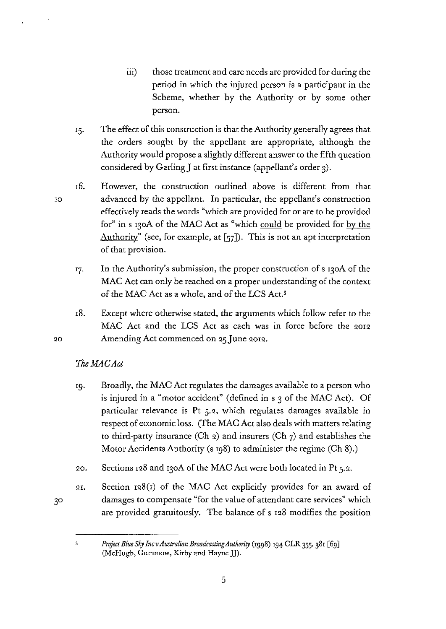- iii) those treatment and care needs are provided for during the period in which the injured person is a participant in the Scheme, whether by the Authority or by some other person.
- 15. The effect of this construction is that the Authority generally agrees that the orders sought by the appellant are appropriate, although the Authority would propose a slightly different answer to the fifth question considered by Garling] at first instance (appellant's order 3).
- r6. However, the construction outlined above is different from that advanced by the appellant. In particular, the appellant's construction effectively reads the words "which are provided for or are to be provided for" in s 130A of the MAC Act as "which could be provided for by the Authority" (see, for example, at  $[57]$ ). This is not an apt interpretation of that provision.
	- 17· In the Authority's submission, the proper construction of s 130A of the MAC Act can only be reached on a proper understanding of the context of the MAC Act as a whole, and of the LCS Act.3
	- rS. Except where otherwise stated, the arguments which follow refer to the MAC Act and the LCS Act as each was in force before the 2012 Amending Act commenced on 25 June 2012.

# *TheMACAct*

- '9· Broadly, the MAC Act regulates the damages available to a person who is injured in a "motor accident" (defined in s 3 of the MAC Act). Of particular relevance is Pt 5.2, which regulates damages available in respect of economic loss. (The MAC Act also deals with matters relating to third-party insurance (Ch 2) and insurers (Ch  $7$ ) and establishes the Motor Accidents Authority (s 198) to administer the regime (Ch 8).)
- QO. Sections 128 and 130A of the MAC Act were both located in Pt 5.2.
- QI. Section  $128(i)$  of the MAC Act explicitly provides for an award of damages to compensate "for the value of attendant care services" which are provided gratuitously. The balance of s r28 modifies the position

10

 $\overline{\mathbf{3}}$ 

*Project Blue Sky IncvAustralian Broadcasting Authority* (1998) 194 CLR 355, 381 [69) (McHugh, Gummow, Kirby and Hayne JJ).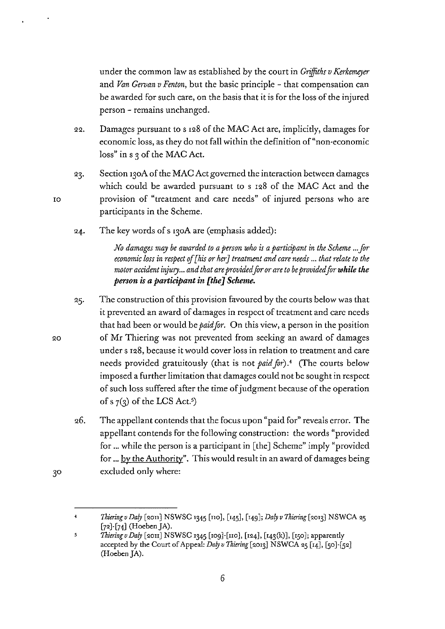under the common law as established by the court in *Griffiths v Kerkemeyer* and *Van Gervan v Fenton,* but the basic principle - that compensation can be awarded for such care, on the basis that it is for the loss of the injured person - remains unchanged.

- 22. Damages pursuant to s r28 of the MAC Act are, implicitly, damages for economic loss, as they do not fall within the definition of"non·economic loss" in s 3 of the MAC Act.
- Section 130A of the MAC Act governed the interaction between damages 23. which could be awarded pursuant to s r28 of the MAC Act and the provision of "treatment and care needs" of injured persons who are participants in the Scheme.
- The key words of s 130A are (emphasis added): 24.

*No damages may be awarded to a person who is a participant in the Scheme ... for economic loss in respect qf [his or* her J *treatment and care needs* ... *that relate to the*  motor accident injury... and that are provided for or are to be provided for while the *person is a participant in [the] Scheme.* 

- The construction of this provision favoured by the courts below was that 25. it prevented an award of damages in respect of treatment and care needs that had been or would be *paid for*. On this view, a person in the position of Mr Thiering was not prevented from seeking an award of damages under s r28, because it would cover loss in relation to treatment and care needs provided gratuitously (that is not *paid for*).<sup>4</sup> (The courts below imposed a further limitation that damages could not be sought in respect of such loss suffered after the time of judgment because of the operation of s  $7(3)$  of the LCS Act.<sup>5</sup>)
- 26. The appellant contends that the focus upon "paid for" reveals error. The appellant contends for the following construction: the words "provided for ... while the person is a participant in [the] Scheme" imply "provided for ... by the Authority". This would result in an award of damages being excluded only where:

IO

20

 $3<sup>o</sup>$ 

*Thiering v Daly* [2011] NSWSC 1345 [110], [145], [149]; *Daly v Thiering* [2013] NSWCA 25  $[72]$ - $[74]$  (Hoeben JA).

 $\overline{5}$ *Thiering v Daly* [2011] NSWSC 1345 [109]-[110], [124], [143(k)], [150]; apparently accepted by the Court of Appeal: *Daly v Thiering* [2013] NSWCA 25 [14], [50]-[52] (Hoeben JA).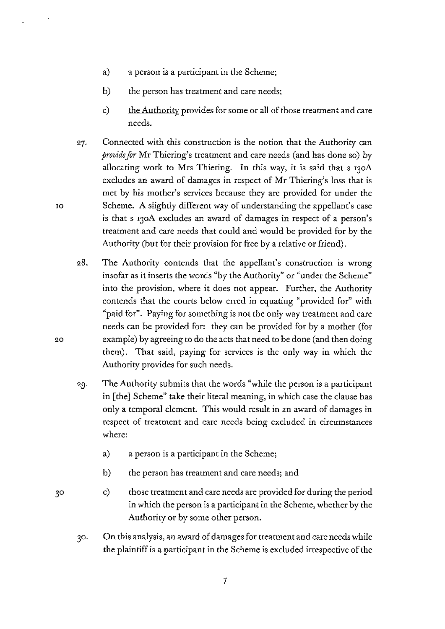- a) a person is a participant in the Scheme;
- b) the person has treatment and care needs;
- c) the Authority provides for some or all of those treatment and care needs.
- Connected with this construction is the notion that the Authority can 27. *provide for* Mr Thiering's treatment and care needs (and has done so) by allocating work to Mrs Thiering. In this way, it is said that s 130A excludes an award of damages in respect of Mr Thiering's loss that is met by his mother's services because they are provided for under the Scheme. A slightly different way of understanding the appellant's case is that s 130A excludes an award of damages in respect of a person's treatment and care needs that could and would be provided for by the Authority (but for their provision for free by a relative or friend).
- 28. The Authority contends that the appellant's construction is wrong insofar as it inserts the words "by the Authority" or "under the Scheme" into the provision, where it does not appear. Further, the Authority contends that the courts below erred in equating "provided for" with "paid for". Paying for something is not the only way treatment and care needs can be provided for: they can be provided for by a mother (for example) by agreeing to do the acts that need to be done (and then doing them). That said, paying for services is the only way in which the Authority provides for such needs.
- 29. The Authority submits that the words "while the person is a participant in [the] Scheme" take their literal meaning, in which case the clause has only a temporal element. This would result in an award of damages in respect of treatment and care needs being excluded in circumstances where:
	- a) a person is a participant in the Scheme;
	- b) the person has treatment and care needs; and
	- c) those treatment and care needs are provided for during the period in which the person is a participant in the Scheme, whether by the Authority or by some other person.
- 30. On this analysis, an award of damages for treatment and care needs while the plaintiff is a participant in the Scheme is excluded irrespective of the

10

20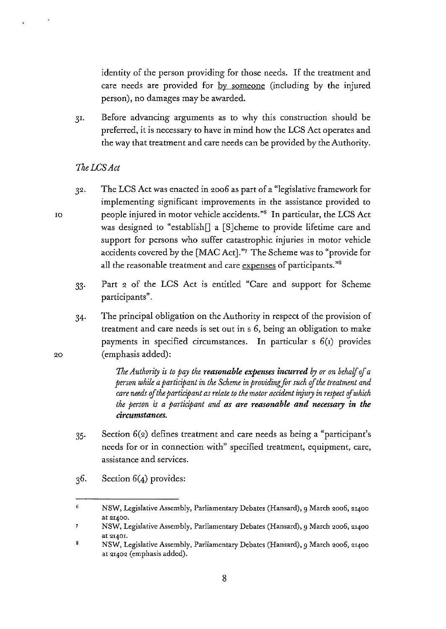identity of the person providing for those needs. If the treatment and care needs are provided for by someone (including by the injured person), no damages may be awarded.

31. Before advancing arguments as to why this construction should be preferred, it is necessary to have in mind how the LCS Act operates and the way that treatment and care needs can be provided by the Authority.

### *'IheLCSAct*

- The LCS Act was enacted in 9.006 as part of a "legislative framework for 32. implementing significant improvements in the assistance provided to people injured in motor vehicle accidents."<sup>6</sup> In particular, the LCS Act was designed to "establish $[]$  a [S]cheme to provide lifetime care and support for persons who suffer catastrophic injuries in motor vehicle accidents covered by the [MAC Act]."' The Scheme was to "provide for all the reasonable treatment and care expenses of participants."<sup>8</sup>
- 33· Part *9.* of the LCS Act is entitled "Care and support for Scheme participants".
- 34· The principal obligation on the Authority in respect of the provision of treatment and care needs is set out in s 6, being an obligation to make payments in specified circumstances. In particular  $s$   $6(i)$  provides (emphasis added):

*The Authority is to pay the reasonable expenses incurred by or on behalf of a person while a participant in the Scheme in providingfor such of the treatment and care needs* of *the participant as relate to the motor accident injury in respect* of *which the person is a participant and as are reasonable and necessary in the circumstances.* 

- 35· Section 6(9.) defines treatment and care needs as being a "participant's needs for or in connection with" specified treatment, equipment, care, assistance and services.
- 36. Section 6(4) provides:

*9.0* 

IO

<sup>6</sup>  NSW, Legislative Assembly, Parliamentary Debates (Hansard), 9 March 2006, 21400 **at 21400.** 

NSW, Legislative Assembly, Parliamentary Debates (Hansard), 9 March 2006, 21400 **at QI40I.** 

s NSW, Legislative Assembly, Parliamentary Debates (Hansard), 9 March 2006, 21400 at 21402 (emphasis added).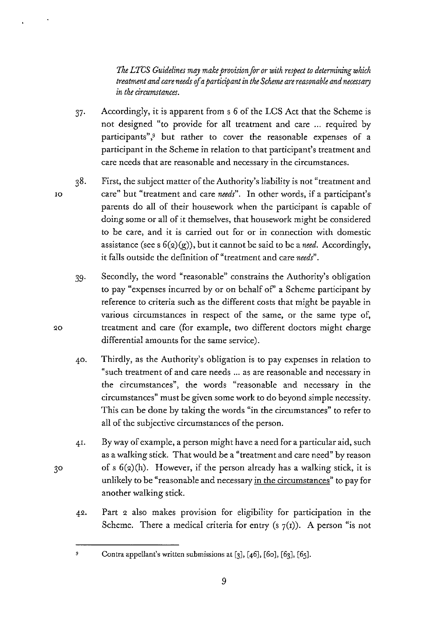*The LTCS Guidelines may make provision for or with respect to determining which treatment and care needs* if *a participant in the Scheme are reasonable and necessary in the circumstances.* 

- 37· Accordingly, it is apparent from s *6* of the LCS Act that the Scheme is not designed "to provide for all treatment and care ... required by participants",<sup>9</sup> but rather to cover the reasonable expenses of a participant in the Scheme in relation to that participant's treatment and care needs that are reasonable and necessary in the circumstances.
- First, the subject matter of the Authority's liability is not "treatment and 38. care" but "treatment and care *needs".* In other words, if a participant's parents do all of their housework when the participant is capable of doing some or all of it themselves, that housework might be considered to be care, and it is carried out for or in connection with domestic assistance (see s  $6(2)(g)$ ), but it cannot be said to be a *need*. Accordingly, it falls outside the definition of "treatment and care *needs".* 
	- 39· Secondly, the word "reasonable" constrains the Authority's obligation to pay "expenses incurred by or on behalf of' a Scheme participant by reference to criteria such as the different costs that might be payable in various circumstances in respect of the same, or the same type of, treatment and care (for example, two different doctors might charge differential amounts for the same service).
	- 40. Thirdly, as the Authority's obligation is to pay expenses in relation to "such treatment of and care needs ... as are reasonable and necessary in the circumstances", the words "reasonable and necessary in the circumstances" must be given some work to do beyond simple necessity. This can be done by taking the words "in the circumstances" to refer to all of the subjective circumstances of the person.
- 4!. By way of example, a person might have a need for a particular aid, such as a walking stick. That would be a "treatment and care need" by reason of s  $6(2)(h)$ . However, if the person already has a walking stick, it is unlikely to be "reasonable and necessary in the circumstances" to pay for another walking stick.
- 42. Part 2 also makes provision for eligibility for participation in the Scheme. There a medical criteria for entry (s  $7(1)$ ). A person "is not

10

'.20

 $30$ 

Contra appellant's written submissions at [3], [46], [6o], [63], [65].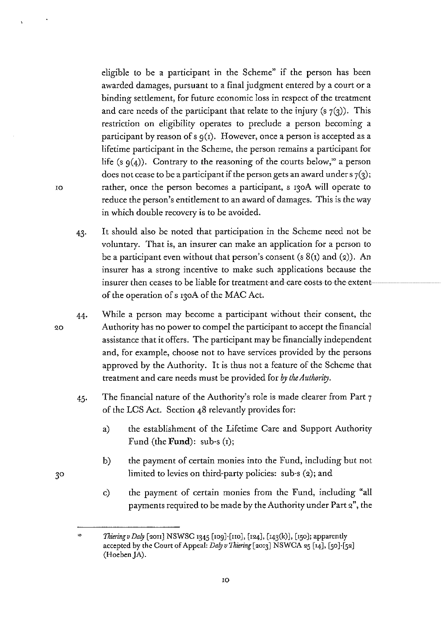eligible to be a participant in the Scheme" if the person has been awarded damages, pursuant to a final judgment entered by a court or a binding settlement, for future economic loss in respect of the treatment and care needs of the participant that relate to the injury (s  $7(3)$ ). This restriction on eligibility operates to preclude a person becoming a participant by reason of s  $g(x)$ . However, once a person is accepted as a lifetime participant in the Scheme, the person remains a participant for life (s  $q(4)$ ). Contrary to the reasoning of the courts below,<sup>10</sup> a person does not cease to be a participant if the person gets an award under  $\frac{1}{2}$ ; rather, once the person becomes a participant, s 130A will operate to reduce the person's entitlement to an award of damages. This is the way in which double recovery is to be avoided.

- 43· It should also be noted that participation in the Scheme need not be voluntary. That is, an insurer can make an application for a person to be a participant even without that person's consent (s  $8(i)$  and (2)). An insurer has a strong incentive to make such applications because the insurer then ceases to be liable for treatment-and-care-costs-to-the-extent of the operation of s r3oA of the MAC Act.
- 44· While a person may become a participant without their consent, the Authority has no power to compel the participant to accept the financial assistance that it offers. The participant may be financially independent and, for example, choose not to have services provided by the persons approved by the Authority. It is thus not a feature of the Scheme that treatment and care needs must be provided for *by the Authority.* 
	- 45· The financial nature of the Authority's role is made clearer from Part 7 of the LCS Act. Section 48 relevantly provides for:
		- a) the establishment of the Lifetime Care and Support Authority Fund (the **Fund):** sub·s (r);
		- b) the payment of certain monies into the Fund, including but not limited to levies on third-party policies: sub·s (2); and
		- c) the payment of certain monies from the Fund, including "all payments required to be made by the Authority under Part 2", the

IO

20

<sup>•</sup>o *Thiering v Daly* [2011] NSWSC 1345 [109]-[110], [124], [143(k)], [150]; apparently accepted by the Court of Appeal: *Daly v Thiering* [2013] NSWCA 25 [14], [50]-[52] (Hoeben JA).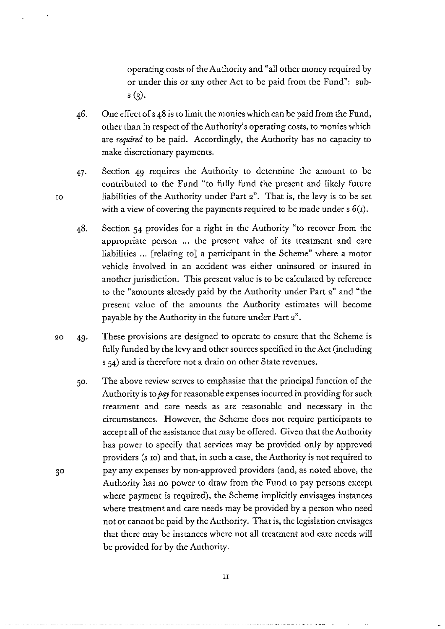operating costs of the Authority and "all other money required by or under this or any other Act to be paid from the Fund": sub $s(3)$ .

- 46. One effect of s 48 is to limit the monies which can be paid from the Fund, other than in respect of the Authority's operating costs, to monies which are *required* to be paid. Accordingly, the Authority has no capacity to make discretionary payments.
- 47· Section 49 requires the Authority to determine the amount to be contributed to the Fund "to fully fund the present and likely future liabilities of the Authority under Part 2". That is, the levy is to be set with a view of covering the payments required to be made under  $s \, \theta(t)$ .
- 48. Section 54 provides for a right in the Authority "to recover from the appropriate person ... the present value of its treatment and care liabilities ... [relating to] a participant in the Scheme" where a motor vehicle involved in an accident was either uninsured or insured in another jurisdiction. This present value is to be calculated by reference to the "amounts already paid by the Authority under Part *Q"* and "the present value of the amounts the Authority estimates will become payable by the Authority in the future under Part 2".
- QO 49· These provisions are designed to operate to ensure that the Scheme is fully funded by the levy and other sources specified in the Act (including s 54) and is therefore not a drain on other State revenues.
	- 50. The above review serves to emphasise that the principal function of the Authority is to *pay* for reasonable expenses incurred in providing for such treatment and care needs as are reasonable and necessary in the circumstances. However, the Scheme does not require participants to accept all of the assistance that may be offered. Given that the Authority has power to specify that services may be provided only by approved providers (s ro) and that, in such a case, the Authority is not required to pay any expenses by non-approved providers (and, as noted above, the Authority has no power to draw from the Fund to pay persons except where payment is required), the Scheme implicitly envisages instances where treatment and care needs may be provided by a person who need not or cannot be paid by the Authority. That is, the legislation envisages that there may be instances where not all treatment and care needs will be provided for by the Authority.

IO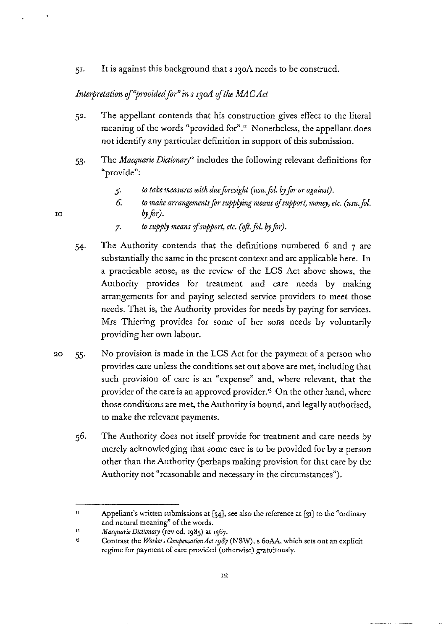5r. It is against this background that s 13oA needs to be construed.

# Interpretation of "provided for" in s 130A of the MAC Act

- 52. The appellant contends that his construction gives effect to the literal meaning of the words "provided for"." Nonetheless, the appellant does not identify any particular definition in support of this submission.
- 53· The *Macquarie Dictionary"* includes the following relevant definitions for **"provide":** 
	- *5·*  to take measures with due foresight (usu. fol. by for or against).
	- *6.*  to make arrangements for supplying means of support, money, etc. (usu. fol. *by for).*
	- *7.* to supply means of support, etc. (oft. fol. by for).
- 54· The Authority contends that the definitions numbered *6* and 7 are substantially the same in the present context and are applicable here. In a practicable sense, as the review of the LCS Act above shows, the Authority provides for treatment and care needs by making arrangements for and paying selected service providers to meet those needs. That is, the Authority provides for needs by paying for services. Mrs Thiering provides for some of her sons needs by voluntarily providing her own labour.
- 20 55· No provision is made in the LCS Act for the payment of a person who provides care unless the conditions set out above are met, including that such provision of care is an "expense" and, where relevant, that the provider of the care is an approved provider.'3 On the other hand, where those conditions are met, the Authority is bound, and legally authorised, to make the relevant payments.
	- 56. The Authority does not itself provide for treatment and care needs by merely acknowledging that some care is to be provided for by a person other than the Authority (perhaps making provision for that care by the Authority not "reasonable and necessary in the circumstances").

IO

 $\overline{ }$ Appellant's written submissions at [34], see also the reference at [31] to the "ordinary **and natural meaning" of the words.** 

<sup>&</sup>quot; *Macquarie Dictionary* (rev ed, 1985) at 1367.

<sup>,,</sup>  Contrast the *Workers Compensation Act 1987* (NSW), s 6oAA, which sets out an explicit regime for payment of care provided (otherwise) gratuitously.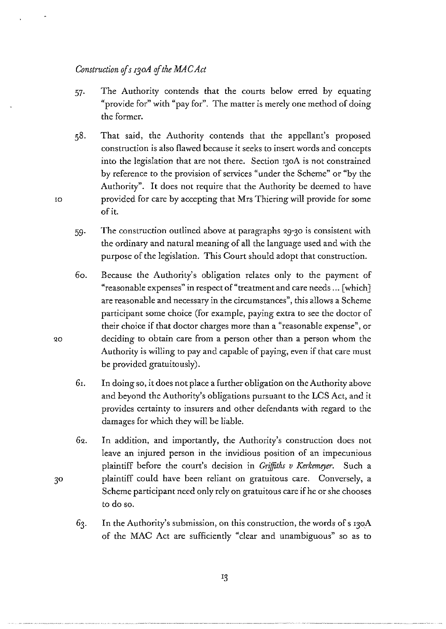## *Construction ofs r3oA of the MAC Act*

- 57· The Authority contends that the courts below erred by equating "provide for" with "pay for". The matter is merely one method of doing the former.
- 58. That said, the Authority contends that the appellant's proposed construction is also flawed because it seeks to insert words and concepts into the legislation that are not there. Section 130A is not constrained by reference to the provision of services "under the Scheme" or "by the Authority". It does not require that the Authority be deemed to have ro provided for care by accepting that Mrs Thiering will provide for some of it.
	- 59· The construction outlined above at paragraphs Q9-30 is consistent with the ordinary and natural meaning of all the language used and with the purpose of the legislation. This Court should adopt that construction.
	- 6o. Because the Authority's obligation relates only to the payment of "reasonable expenses" in respect of "treatment and care needs ... [which] are reasonable and necessary in the circumstances", this allows a Scheme participant some choice (for example, paying extra to see the doctor of their choice if that doctor charges more than a "reasonable expense", or deciding to obtain care from a person other than a person whom the Authority is willing to pay and capable of paying, even if that care must be provided gratuitously).
	- 6r. In doing so, it does not place a further obligation on the Authority above and beyond the Authority's obligations pursuant to the LCS Act, and it provides certainty to insurers and other defendants with regard to the damages for which they will be liable.
	- 62. In addition, and importantly, the Authority's construction does not leave an injured person in the invidious position of an impecunious plaintiff before the court's decision in *Griffiths v Kerkemeyer.* Such a plaintiff could have been reliant on gratuitous care. Conversely, a Scheme participant need only rely on gratuitous care if he or she chooses to do so.
	- In the Authority's submission, on this construction, the words of s 130A 63. of the MAC Act are sufficiently "clear and unambiguous" so as to

 $3<sup>o</sup>$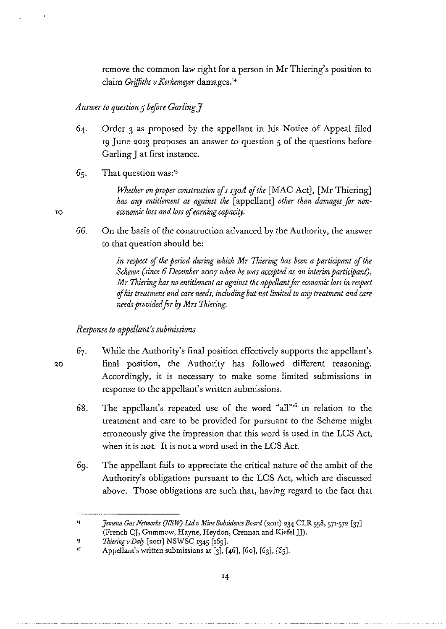remove the common law right for a person in Mr Thiering's position to claim *Griffiths v Kerkemeyer* damages.<sup>14</sup>

## *Answer to question 5 before Garling*  $\tilde{f}$

- 64. Order 3 as proposed by the appellant in his Notice of Appeal filed 19 June 2013 proposes an answer to question 5 of the questions before Garling J at first instance.
- 65. That question was:'5

IO

*QO* 

*Whether on proper construction of s 130A of the* [MAC Act], [Mr Thiering] *has any entitlement as against the* [appellant] *other than damages for non* $e$ *conomic loss and loss of earning capacity.* 

66. On the basis of the construction advanced by the Authority, the answer to that question should be:

> In respect of the period during which Mr Thiering has been a participant of the *Scheme (since 6 December 2007 when he was accepted as an interim participant), Mr Thiering has no entitlement as against the appellant for economic loss in respect tf his treatment and care needs, including but not limited to any treatment and care needs provided for by Mrs Thiering.*

## *Response to appellant's submissions*

- 67. While the Authority's final position effectively supports the appellant's final position, the Authority has followed different reasoning. Accordingly, it is necessary to make some limited submissions in response to the appellant's written submissions.
	- 68. The appellant's repeated use of the word "all"<sup>6</sup> in relation to the treatment and care to be provided for pursuant to the Scheme might erroneously give the impression that this word is used in the LCS Act, when it is not. It is not a word used in the LCS Act.
	- 69. The appellant fails to appreciate the critical nature of the ambit of the Authority's obligations pursuant to the LCS Act, which are discussed above. Those obligations are such that, having regard to the fact that

<sup>,,</sup>  *Jemena Gas Networks (NSW) Ltd v Mine Subsidence Board (2011) 234 CLR 558, 571-572* [37] (French CJ, Gummow, Hayne, Heydon, Crennan and Kiefel JJ).

<sup>,,</sup>  *Thiering v Daly* [2011] NSWSC 1345 [169].

<sup>,,</sup>  Appellant's written submissions at  $[3]$ ,  $[46]$ ,  $[60]$ ,  $[63]$ ,  $[65]$ .